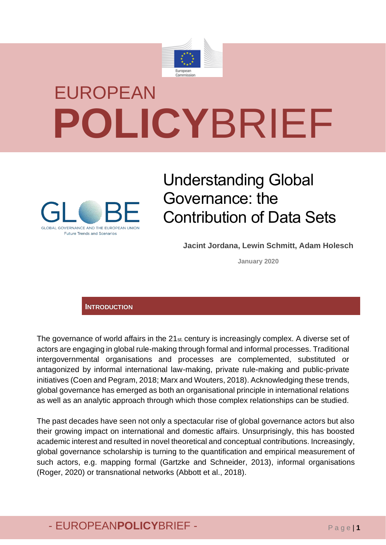

# EUROPEAN **POLICY**BRIEF



## Understanding Global Governance: the Contribution of Data Sets

**Jacint Jordana, Lewin Schmitt, Adam Holesch**

**January 2020**

#### **INTRODUCTION**

The governance of world affairs in the 21st. century is increasingly complex. A diverse set of actors are engaging in global rule-making through formal and informal processes. Traditional intergovernmental organisations and processes are complemented, substituted or antagonized by informal international law-making, private rule-making and public-private initiatives (Coen and Pegram, 2018; Marx and Wouters, 2018). Acknowledging these trends, global governance has emerged as both an organisational principle in international relations as well as an analytic approach through which those complex relationships can be studied.

The past decades have seen not only a spectacular rise of global governance actors but also their growing impact on international and domestic affairs. Unsurprisingly, this has boosted academic interest and resulted in novel theoretical and conceptual contributions. Increasingly, global governance scholarship is turning to the quantification and empirical measurement of such actors, e.g. mapping formal (Gartzke and Schneider, 2013), informal organisations (Roger, 2020) or transnational networks (Abbott et al., 2018).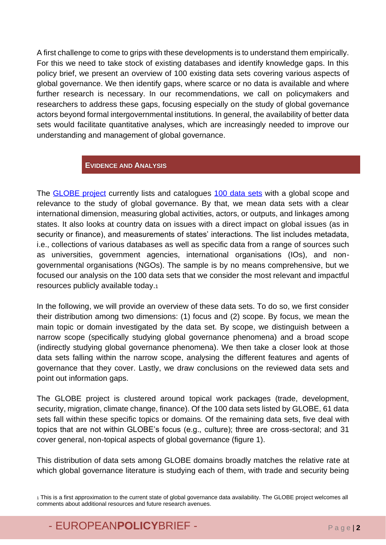A first challenge to come to grips with these developments is to understand them empirically. For this we need to take stock of existing databases and identify knowledge gaps. In this policy brief, we present an overview of 100 existing data sets covering various aspects of global governance. We then identify gaps, where scarce or no data is available and where further research is necessary. In our recommendations, we call on policymakers and researchers to address these gaps, focusing especially on the study of global governance actors beyond formal intergovernmental institutions. In general, the availability of better data sets would facilitate quantitative analyses, which are increasingly needed to improve our understanding and management of global governance.

#### **EVIDENCE AND ANALYSIS**

The **GLOBE** project currently lists and catalogues [100 data sets](https://www.globe-project.eu/en/global-governance-data-sets_7603) with a global scope and relevance to the study of global governance. By that, we mean data sets with a clear international dimension, measuring global activities, actors, or outputs, and linkages among states. It also looks at country data on issues with a direct impact on global issues (as in security or finance), and measurements of states' interactions. The list includes metadata, i.e., collections of various databases as well as specific data from a range of sources such as universities, government agencies, international organisations (IOs), and nongovernmental organisations (NGOs). The sample is by no means comprehensive, but we focused our analysis on the 100 data sets that we consider the most relevant and impactful resources publicly available today.<sup>1</sup>

In the following, we will provide an overview of these data sets. To do so, we first consider their distribution among two dimensions: (1) focus and (2) scope. By focus, we mean the main topic or domain investigated by the data set. By scope, we distinguish between a narrow scope (specifically studying global governance phenomena) and a broad scope (indirectly studying global governance phenomena). We then take a closer look at those data sets falling within the narrow scope, analysing the different features and agents of governance that they cover. Lastly, we draw conclusions on the reviewed data sets and point out information gaps.

The GLOBE project is clustered around topical work packages (trade, development, security, migration, climate change, finance). Of the 100 data sets listed by GLOBE, 61 data sets fall within these specific topics or domains. Of the remaining data sets, five deal with topics that are not within GLOBE's focus (e.g., culture); three are cross-sectoral; and 31 cover general, non-topical aspects of global governance (figure 1).

This distribution of data sets among GLOBE domains broadly matches the relative rate at which global governance literature is studying each of them, with trade and security being

<sup>1</sup> This is a first approximation to the current state of global governance data availability. The GLOBE project welcomes all comments about additional resources and future research avenues.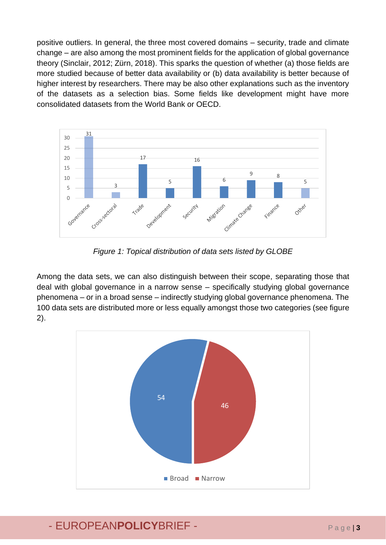positive outliers. In general, the three most covered domains – security, trade and climate change – are also among the most prominent fields for the application of global governance theory (Sinclair, 2012; Zürn, 2018). This sparks the question of whether (a) those fields are more studied because of better data availability or (b) data availability is better because of higher interest by researchers. There may be also other explanations such as the inventory of the datasets as a selection bias. Some fields like development might have more consolidated datasets from the World Bank or OECD.



*Figure 1: Topical distribution of data sets listed by GLOBE*

Among the data sets, we can also distinguish between their scope, separating those that deal with global governance in a narrow sense – specifically studying global governance phenomena – or in a broad sense – indirectly studying global governance phenomena. The 100 data sets are distributed more or less equally amongst those two categories (see figure 2).

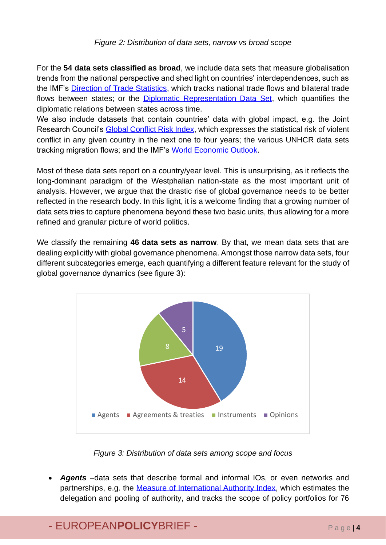#### *Figure 2: Distribution of data sets, narrow vs broad scope*

For the **54 data sets classified as broad**, we include data sets that measure globalisation trends from the national perspective and shed light on countries' interdependences, such as the IMF's [Direction of Trade Statistics,](http://data.imf.org/?sk=9d6028d4-f14a-464c-a2f2-59b2cd424b85) which tracks national trade flows and bilateral trade flows between states; or the [Diplomatic Representation Data Set,](https://pardee.du.edu/diplomatic-representation-data-set) which quantifies the diplomatic relations between states across time.

We also include datasets that contain countries' data with global impact, e.g. the Joint Research Council's [Global Conflict Risk Index,](http://conflictrisk.jrc.ec.europa.eu/Downloads) which expresses the statistical risk of violent conflict in any given country in the next one to four years; the various UNHCR data sets tracking migration flows; and the IMF's [World Economic Outlook.](https://www.imf.org/en/Publications/SPROLLS/world-economic-outlook-databases#sort=%40imfdate%20descending)

Most of these data sets report on a country/year level. This is unsurprising, as it reflects the long-dominant paradigm of the Westphalian nation-state as the most important unit of analysis. However, we argue that the drastic rise of global governance needs to be better reflected in the research body. In this light, it is a welcome finding that a growing number of data sets tries to capture phenomena beyond these two basic units, thus allowing for a more refined and granular picture of world politics.

We classify the remaining **46 data sets as narrow**. By that, we mean data sets that are dealing explicitly with global governance phenomena. Amongst those narrow data sets, four different subcategories emerge, each quantifying a different feature relevant for the study of global governance dynamics (see figure 3):



*Figure 3: Distribution of data sets among scope and focus*

• *Agents* –data sets that describe formal and informal IOs, or even networks and partnerships, e.g. the [Measure of International Authority Index,](http://garymarks.web.unc.edu/data/international-authority/) which estimates the delegation and pooling of authority, and tracks the scope of policy portfolios for 76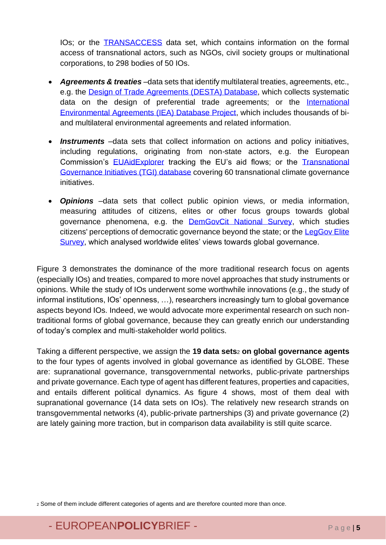IOs; or the [TRANSACCESS](https://dataverse.harvard.edu/dataset.xhtml?persistentId=doi:10.7910/DVN/DDE1HE) data set, which contains information on the formal access of transnational actors, such as NGOs, civil society groups or multinational corporations, to 298 bodies of 50 IOs.

- *Agreements & treaties* –data sets that identify multilateral treaties, agreements, etc., e.g. the [Design of Trade Agreements \(DESTA\) Database,](https://www.designoftradeagreements.org/) which collects systematic data on the design of preferential trade agreements; or the International [Environmental Agreements \(IEA\) Database Project,](https://iea.uoregon.edu/) which includes thousands of biand multilateral environmental agreements and related information.
- *Instruments* –data sets that collect information on actions and policy initiatives, including regulations, originating from non-state actors, e.g. the European Commission's [EUAidExplorer](https://euaidexplorer.ec.europa.eu/) tracking the EU's aid flows; or the [Transnational](https://journals.sagepub.com/doi/abs/10.1068/c11126)  [Governance Initiatives \(TGI\)](https://journals.sagepub.com/doi/abs/10.1068/c11126) database covering 60 transnational climate governance initiatives.
- *Opinions* –data sets that collect public opinion views, or media information, measuring attitudes of citizens, elites or other focus groups towards global governance phenomena, e.g. the **DemGovCit National Survey**, which studies citizens' perceptions of democratic governance beyond the state; or the LegGov Elite [Survey,](https://www.statsvet.su.se/leggov/leggov-elite-survey/leggov-elite-survey-1.447763) which analysed worldwide elites' views towards global governance.

Figure 3 demonstrates the dominance of the more traditional research focus on agents (especially IOs) and treaties, compared to more novel approaches that study instruments or opinions. While the study of IOs underwent some worthwhile innovations (e.g., the study of informal institutions, IOs' openness, …), researchers increasingly turn to global governance aspects beyond IOs. Indeed, we would advocate more experimental research on such nontraditional forms of global governance, because they can greatly enrich our understanding of today's complex and multi-stakeholder world politics.

Taking a different perspective, we assign the **19 data sets**<sup>2</sup> **on global governance agents** to the four types of agents involved in global governance as identified by GLOBE. These are: supranational governance, transgovernmental networks, public-private partnerships and private governance. Each type of agent has different features, properties and capacities, and entails different political dynamics. As figure 4 shows, most of them deal with supranational governance (14 data sets on IOs). The relatively new research strands on transgovernmental networks (4), public-private partnerships (3) and private governance (2) are lately gaining more traction, but in comparison data availability is still quite scarce.

<sup>2</sup> Some of them include different categories of agents and are therefore counted more than once.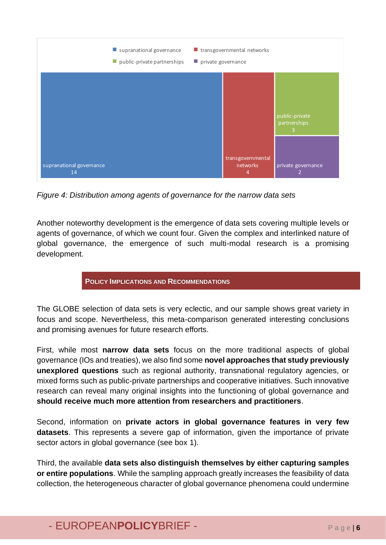

*Figure 4: Distribution among agents of governance for the narrow data sets*

Another noteworthy development is the emergence of data sets covering multiple levels or agents of governance, of which we count four. Given the complex and interlinked nature of global governance, the emergence of such multi-modal research is a promising development.

#### **POLICY IMPLICATIONS AND RECOMMENDATIONS**

The GLOBE selection of data sets is very eclectic, and our sample shows great variety in focus and scope. Nevertheless, this meta-comparison generated interesting conclusions and promising avenues for future research efforts.

First, while most **narrow data sets** focus on the more traditional aspects of global governance (IOs and treaties), we also find some **novel approaches that study previously unexplored questions** such as regional authority, transnational regulatory agencies, or mixed forms such as public-private partnerships and cooperative initiatives. Such innovative research can reveal many original insights into the functioning of global governance and **should receive much more attention from researchers and practitioners**.

Second, information on **private actors in global governance features in very few datasets**. This represents a severe gap of information, given the importance of private sector actors in global governance (see box 1).

Third, the available **data sets also distinguish themselves by either capturing samples or entire populations**. While the sampling approach greatly increases the feasibility of data collection, the heterogeneous character of global governance phenomena could undermine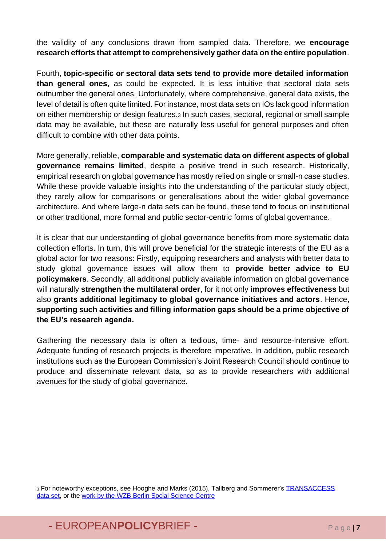the validity of any conclusions drawn from sampled data. Therefore, we **encourage research efforts that attempt to comprehensively gather data on the entire population**.

Fourth, **topic-specific or sectoral data sets tend to provide more detailed information than general ones**, as could be expected. It is less intuitive that sectoral data sets outnumber the general ones. Unfortunately, where comprehensive, general data exists, the level of detail is often quite limited. For instance, most data sets on IOs lack good information on either membership or design features.<sup>3</sup> In such cases, sectoral, regional or small sample data may be available, but these are naturally less useful for general purposes and often difficult to combine with other data points.

More generally, reliable, **comparable and systematic data on different aspects of global governance remains limited**, despite a positive trend in such research. Historically, empirical research on global governance has mostly relied on single or small-n case studies. While these provide valuable insights into the understanding of the particular study object, they rarely allow for comparisons or generalisations about the wider global governance architecture. And where large-n data sets can be found, these tend to focus on institutional or other traditional, more formal and public sector-centric forms of global governance.

It is clear that our understanding of global governance benefits from more systematic data collection efforts. In turn, this will prove beneficial for the strategic interests of the EU as a global actor for two reasons: Firstly, equipping researchers and analysts with better data to study global governance issues will allow them to **provide better advice to EU policymakers**. Secondly, all additional publicly available information on global governance will naturally **strengthen the multilateral order**, for it not only **improves effectiveness** but also **grants additional legitimacy to global governance initiatives and actors**. Hence, **supporting such activities and filling information gaps should be a prime objective of the EU's research agenda.**

Gathering the necessary data is often a tedious, time- and resource-intensive effort. Adequate funding of research projects is therefore imperative. In addition, public research institutions such as the European Commission's Joint Research Council should continue to produce and disseminate relevant data, so as to provide researchers with additional avenues for the study of global governance.

3 For noteworthy exceptions, see Hooghe and Marks (2015), Tallberg and Sommerer's TRANSACCESS [data set,](https://dataverse.harvard.edu/dataverse.xhtml?alias=transaccess) or the [work by the WZB Berlin Social Science Centre](https://www.wzb.eu/en/research/international-politics-and-law/global-governance/projects)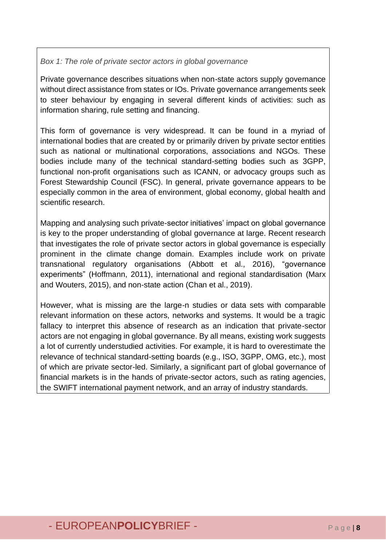#### *Box 1: The role of private sector actors in global governance*

Private governance describes situations when non-state actors supply governance without direct assistance from states or IOs. Private governance arrangements seek to steer behaviour by engaging in several different kinds of activities: such as information sharing, rule setting and financing.

This form of governance is very widespread. It can be found in a myriad of international bodies that are created by or primarily driven by private sector entities such as national or multinational corporations, associations and NGOs. These bodies include many of the technical standard-setting bodies such as 3GPP, functional non-profit organisations such as ICANN, or advocacy groups such as Forest Stewardship Council (FSC). In general, private governance appears to be especially common in the area of environment, global economy, global health and scientific research.

Mapping and analysing such private-sector initiatives' impact on global governance is key to the proper understanding of global governance at large. Recent research that investigates the role of private sector actors in global governance is especially prominent in the climate change domain. Examples include work on private transnational regulatory organisations (Abbott et al., 2016), "governance experiments" (Hoffmann, 2011), international and regional standardisation (Marx and Wouters, 2015), and non-state action (Chan et al., 2019).

However, what is missing are the large-n studies or data sets with comparable relevant information on these actors, networks and systems. It would be a tragic fallacy to interpret this absence of research as an indication that private-sector actors are not engaging in global governance. By all means, existing work suggests a lot of currently understudied activities. For example, it is hard to overestimate the relevance of technical standard-setting boards (e.g., ISO, 3GPP, OMG, etc.), most of which are private sector-led. Similarly, a significant part of global governance of financial markets is in the hands of private-sector actors, such as rating agencies, the SWIFT international payment network, and an array of industry standards.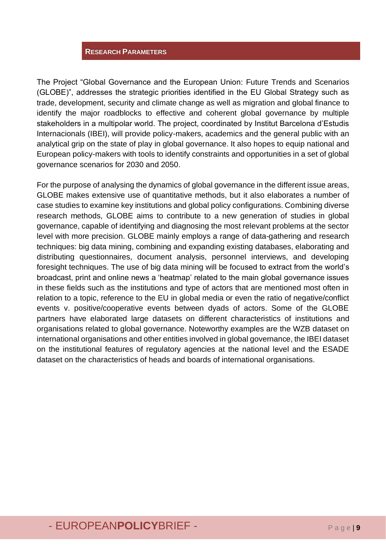#### **RESEARCH PARAMETERS**

The Project "Global Governance and the European Union: Future Trends and Scenarios (GLOBE)", addresses the strategic priorities identified in the EU Global Strategy such as trade, development, security and climate change as well as migration and global finance to identify the major roadblocks to effective and coherent global governance by multiple stakeholders in a multipolar world. The project, coordinated by Institut Barcelona d'Estudis Internacionals (IBEI), will provide policy-makers, academics and the general public with an analytical grip on the state of play in global governance. It also hopes to equip national and European policy-makers with tools to identify constraints and opportunities in a set of global governance scenarios for 2030 and 2050.

For the purpose of analysing the dynamics of global governance in the different issue areas, GLOBE makes extensive use of quantitative methods, but it also elaborates a number of case studies to examine key institutions and global policy configurations. Combining diverse research methods, GLOBE aims to contribute to a new generation of studies in global governance, capable of identifying and diagnosing the most relevant problems at the sector level with more precision. GLOBE mainly employs a range of data-gathering and research techniques: big data mining, combining and expanding existing databases, elaborating and distributing questionnaires, document analysis, personnel interviews, and developing foresight techniques. The use of big data mining will be focused to extract from the world's broadcast, print and online news a 'heatmap' related to the main global governance issues in these fields such as the institutions and type of actors that are mentioned most often in relation to a topic, reference to the EU in global media or even the ratio of negative/conflict events v. positive/cooperative events between dyads of actors. Some of the GLOBE partners have elaborated large datasets on different characteristics of institutions and organisations related to global governance. Noteworthy examples are the WZB dataset on international organisations and other entities involved in global governance, the IBEI dataset on the institutional features of regulatory agencies at the national level and the ESADE dataset on the characteristics of heads and boards of international organisations.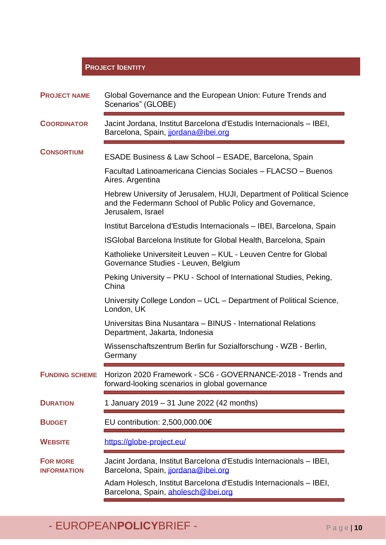#### **PROJECT IDENTITY**

| <b>PROJECT NAME</b>                   | Global Governance and the European Union: Future Trends and<br>Scenarios" (GLOBE)                                                                       |
|---------------------------------------|---------------------------------------------------------------------------------------------------------------------------------------------------------|
| <b>COORDINATOR</b>                    | Jacint Jordana, Institut Barcelona d'Estudis Internacionals – IBEI,<br>Barcelona, Spain, jordana@ibei.org                                               |
| <b>CONSORTIUM</b>                     | ESADE Business & Law School - ESADE, Barcelona, Spain                                                                                                   |
|                                       | Facultad Latinoamericana Ciencias Sociales - FLACSO - Buenos<br>Aires. Argentina                                                                        |
|                                       | Hebrew University of Jerusalem, HUJI, Department of Political Science<br>and the Federmann School of Public Policy and Governance,<br>Jerusalem, Israel |
|                                       | Institut Barcelona d'Estudis Internacionals - IBEI, Barcelona, Spain                                                                                    |
|                                       | ISGIobal Barcelona Institute for Global Health, Barcelona, Spain                                                                                        |
|                                       | Katholieke Universiteit Leuven - KUL - Leuven Centre for Global<br>Governance Studies - Leuven, Belgium                                                 |
|                                       | Peking University – PKU - School of International Studies, Peking,<br>China                                                                             |
|                                       | University College London - UCL - Department of Political Science,<br>London, UK                                                                        |
|                                       | Universitas Bina Nusantara - BINUS - International Relations<br>Department, Jakarta, Indonesia                                                          |
|                                       | Wissenschaftszentrum Berlin fur Sozialforschung - WZB - Berlin,<br>Germany                                                                              |
| <b>FUNDING SCHEME</b>                 | Horizon 2020 Framework - SC6 - GOVERNANCE-2018 - Trends and<br>forward-looking scenarios in global governance                                           |
| <b>DURATION</b>                       | 1 January 2019 - 31 June 2022 (42 months)                                                                                                               |
| <b>BUDGET</b>                         | EU contribution: 2,500,000.00€                                                                                                                          |
| <b>WEBSITE</b>                        | https://globe-project.eu/                                                                                                                               |
| <b>FOR MORE</b><br><b>INFORMATION</b> | Jacint Jordana, Institut Barcelona d'Estudis Internacionals - IBEI,<br>Barcelona, Spain, jordana@ibei.org                                               |
|                                       | Adam Holesch, Institut Barcelona d'Estudis Internacionals – IBEI,<br>Barcelona, Spain, aholesch@ibei.org                                                |